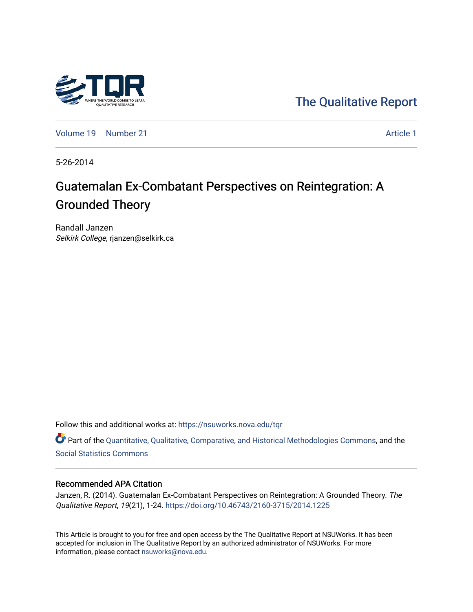

[The Qualitative Report](https://nsuworks.nova.edu/tqr) 

[Volume 19](https://nsuworks.nova.edu/tqr/vol19) [Number 21](https://nsuworks.nova.edu/tqr/vol19/iss21) Article 1

5-26-2014

# Guatemalan Ex-Combatant Perspectives on Reintegration: A Grounded Theory

Randall Janzen Selkirk College, rjanzen@selkirk.ca

Follow this and additional works at: [https://nsuworks.nova.edu/tqr](https://nsuworks.nova.edu/tqr?utm_source=nsuworks.nova.edu%2Ftqr%2Fvol19%2Fiss21%2F1&utm_medium=PDF&utm_campaign=PDFCoverPages) 

Part of the [Quantitative, Qualitative, Comparative, and Historical Methodologies Commons,](http://network.bepress.com/hgg/discipline/423?utm_source=nsuworks.nova.edu%2Ftqr%2Fvol19%2Fiss21%2F1&utm_medium=PDF&utm_campaign=PDFCoverPages) and the [Social Statistics Commons](http://network.bepress.com/hgg/discipline/1275?utm_source=nsuworks.nova.edu%2Ftqr%2Fvol19%2Fiss21%2F1&utm_medium=PDF&utm_campaign=PDFCoverPages) 

## Recommended APA Citation

Janzen, R. (2014). Guatemalan Ex-Combatant Perspectives on Reintegration: A Grounded Theory. The Qualitative Report, 19(21), 1-24.<https://doi.org/10.46743/2160-3715/2014.1225>

This Article is brought to you for free and open access by the The Qualitative Report at NSUWorks. It has been accepted for inclusion in The Qualitative Report by an authorized administrator of NSUWorks. For more information, please contact [nsuworks@nova.edu.](mailto:nsuworks@nova.edu)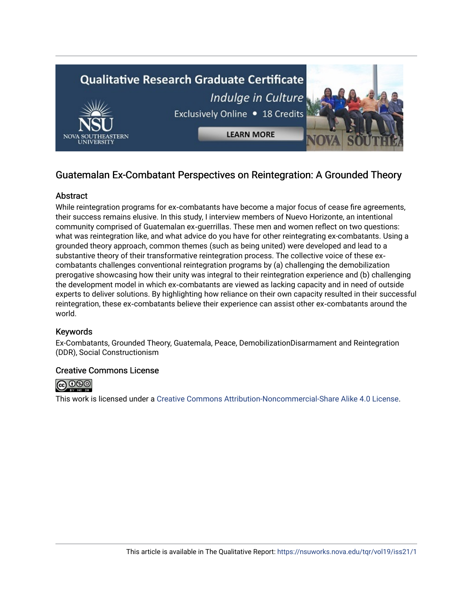

## Guatemalan Ex-Combatant Perspectives on Reintegration: A Grounded Theory

## **Abstract**

While reintegration programs for ex-combatants have become a major focus of cease fire agreements, their success remains elusive. In this study, I interview members of Nuevo Horizonte, an intentional community comprised of Guatemalan ex‐guerrillas. These men and women reflect on two questions: what was reintegration like, and what advice do you have for other reintegrating ex-combatants. Using a grounded theory approach, common themes (such as being united) were developed and lead to a substantive theory of their transformative reintegration process. The collective voice of these excombatants challenges conventional reintegration programs by (a) challenging the demobilization prerogative showcasing how their unity was integral to their reintegration experience and (b) challenging the development model in which ex‐combatants are viewed as lacking capacity and in need of outside experts to deliver solutions. By highlighting how reliance on their own capacity resulted in their successful reintegration, these ex‐combatants believe their experience can assist other ex‐combatants around the world.

## Keywords

Ex-Combatants, Grounded Theory, Guatemala, Peace, DemobilizationDisarmament and Reintegration (DDR), Social Constructionism

## Creative Commons License



This work is licensed under a [Creative Commons Attribution-Noncommercial-Share Alike 4.0 License](https://creativecommons.org/licenses/by-nc-sa/4.0/).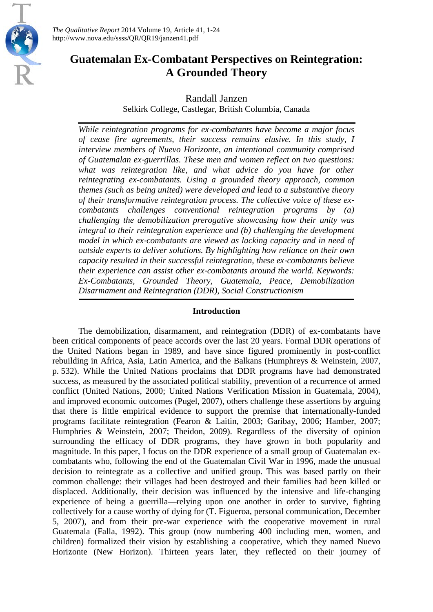

*The Qualitative Report* 2014 Volume 19, Article 41, 1-24 http://www.nova.edu/ssss/QR/QR19/janzen41.pdf

## **Guatemalan Ex-Combatant Perspectives on Reintegration: A Grounded Theory**

Randall Janzen

Selkirk College, Castlegar, British Columbia, Canada

*While reintegration programs for ex*‐*combatants have become a major focus of cease fire agreements, their success remains elusive. In this study, I interview members of Nuevo Horizonte, an intentional community comprised of Guatemalan ex*‐*guerrillas. These men and women reflect on two questions: what was reintegration like, and what advice do you have for other reintegrating ex-combatants. Using a grounded theory approach, common themes (such as being united) were developed and lead to a substantive theory of their transformative reintegration process. The collective voice of these ex*‐ *combatants challenges conventional reintegration programs by (a) challenging the demobilization prerogative showcasing how their unity was integral to their reintegration experience and (b) challenging the development model in which ex*‐*combatants are viewed as lacking capacity and in need of outside experts to deliver solutions. By highlighting how reliance on their own capacity resulted in their successful reintegration, these ex*‐*combatants believe their experience can assist other ex-combatants around the world. Keywords: Ex-Combatants, Grounded Theory, Guatemala, Peace, Demobilization Disarmament and Reintegration (DDR), Social Constructionism*

## **Introduction**

The demobilization, disarmament, and reintegration (DDR) of ex-combatants have been critical components of peace accords over the last 20 years. Formal DDR operations of the United Nations began in 1989, and have since figured prominently in post-conflict rebuilding in Africa, Asia, Latin America, and the Balkans (Humphreys & Weinstein, 2007, p. 532). While the United Nations proclaims that DDR programs have had demonstrated success, as measured by the associated political stability, prevention of a recurrence of armed conflict (United Nations, 2000; United Nations Verification Mission in Guatemala, 2004), and improved economic outcomes (Pugel, 2007), others challenge these assertions by arguing that there is little empirical evidence to support the premise that internationally-funded programs facilitate reintegration (Fearon & Laitin, 2003; Garibay, 2006; Hamber, 2007; Humphries & Weinstein, 2007; Theidon, 2009). Regardless of the diversity of opinion surrounding the efficacy of DDR programs, they have grown in both popularity and magnitude. In this paper, I focus on the DDR experience of a small group of Guatemalan excombatants who, following the end of the Guatemalan Civil War in 1996, made the unusual decision to reintegrate as a collective and unified group. This was based partly on their common challenge: their villages had been destroyed and their families had been killed or displaced. Additionally, their decision was influenced by the intensive and life-changing experience of being a guerrilla—relying upon one another in order to survive, fighting collectively for a cause worthy of dying for (T. Figueroa, personal communication, December 5, 2007), and from their pre-war experience with the cooperative movement in rural Guatemala (Falla, 1992). This group (now numbering 400 including men, women, and children) formalized their vision by establishing a cooperative, which they named Nuevo Horizonte (New Horizon). Thirteen years later, they reflected on their journey of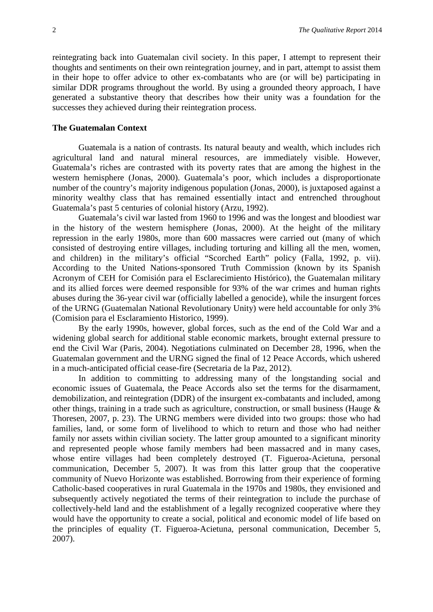reintegrating back into Guatemalan civil society. In this paper, I attempt to represent their thoughts and sentiments on their own reintegration journey, and in part, attempt to assist them in their hope to offer advice to other ex-combatants who are (or will be) participating in similar DDR programs throughout the world. By using a grounded theory approach, I have generated a substantive theory that describes how their unity was a foundation for the successes they achieved during their reintegration process.

#### **The Guatemalan Context**

Guatemala is a nation of contrasts. Its natural beauty and wealth, which includes rich agricultural land and natural mineral resources, are immediately visible. However, Guatemala's riches are contrasted with its poverty rates that are among the highest in the western hemisphere (Jonas, 2000). Guatemala's poor, which includes a disproportionate number of the country's majority indigenous population (Jonas, 2000), is juxtaposed against a minority wealthy class that has remained essentially intact and entrenched throughout Guatemala's past 5 centuries of colonial history (Arzu, 1992).

Guatemala's civil war lasted from 1960 to 1996 and was the longest and bloodiest war in the history of the western hemisphere (Jonas, 2000). At the height of the military repression in the early 1980s, more than 600 massacres were carried out (many of which consisted of destroying entire villages, including torturing and killing all the men, women, and children) in the military's official "Scorched Earth" policy (Falla, 1992, p. vii). According to the United Nations-sponsored Truth Commission (known by its Spanish Acronym of CEH for Comisión para el Esclarecimiento Histórico), the Guatemalan military and its allied forces were deemed responsible for 93% of the war crimes and human rights abuses during the 36-year civil war (officially labelled a genocide), while the insurgent forces of the URNG (Guatemalan National Revolutionary Unity) were held accountable for only 3% (Comision para el Esclaramiento Historico, 1999).

By the early 1990s, however, global forces, such as the end of the Cold War and a widening global search for additional stable economic markets, brought external pressure to end the Civil War (Paris, 2004). Negotiations culminated on December 28, 1996, when the Guatemalan government and the URNG signed the final of 12 Peace Accords, which ushered in a much-anticipated official cease-fire (Secretaria de la Paz, 2012).

In addition to committing to addressing many of the longstanding social and economic issues of Guatemala, the Peace Accords also set the terms for the disarmament, demobilization, and reintegration (DDR) of the insurgent ex-combatants and included, among other things, training in a trade such as agriculture, construction, or small business (Hauge & Thoresen, 2007, p. 23). The URNG members were divided into two groups: those who had families, land, or some form of livelihood to which to return and those who had neither family nor assets within civilian society. The latter group amounted to a significant minority and represented people whose family members had been massacred and in many cases, whose entire villages had been completely destroyed (T. Figueroa-Acietuna, personal communication, December 5, 2007). It was from this latter group that the cooperative community of Nuevo Horizonte was established. Borrowing from their experience of forming Catholic-based cooperatives in rural Guatemala in the 1970s and 1980s, they envisioned and subsequently actively negotiated the terms of their reintegration to include the purchase of collectively-held land and the establishment of a legally recognized cooperative where they would have the opportunity to create a social, political and economic model of life based on the principles of equality (T. Figueroa-Acietuna, personal communication, December 5, 2007).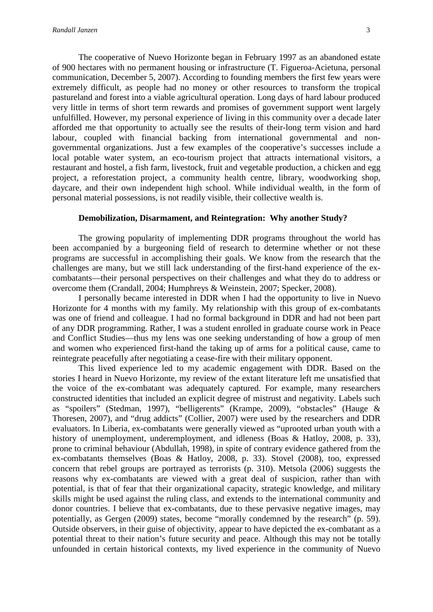The cooperative of Nuevo Horizonte began in February 1997 as an abandoned estate of 900 hectares with no permanent housing or infrastructure (T. Figueroa-Acietuna, personal communication, December 5, 2007). According to founding members the first few years were extremely difficult, as people had no money or other resources to transform the tropical pastureland and forest into a viable agricultural operation. Long days of hard labour produced very little in terms of short term rewards and promises of government support went largely unfulfilled. However, my personal experience of living in this community over a decade later afforded me that opportunity to actually see the results of their-long term vision and hard labour, coupled with financial backing from international governmental and nongovernmental organizations. Just a few examples of the cooperative's successes include a local potable water system, an eco-tourism project that attracts international visitors, a restaurant and hostel, a fish farm, livestock, fruit and vegetable production, a chicken and egg project, a reforestation project, a community health centre, library, woodworking shop, daycare, and their own independent high school. While individual wealth, in the form of personal material possessions, is not readily visible, their collective wealth is.

#### **Demobilization, Disarmament, and Reintegration: Why another Study?**

The growing popularity of implementing DDR programs throughout the world has been accompanied by a burgeoning field of research to determine whether or not these programs are successful in accomplishing their goals. We know from the research that the challenges are many, but we still lack understanding of the first-hand experience of the excombatants—their personal perspectives on their challenges and what they do to address or overcome them (Crandall, 2004; Humphreys & Weinstein, 2007; Specker, 2008).

I personally became interested in DDR when I had the opportunity to live in Nuevo Horizonte for 4 months with my family. My relationship with this group of ex-combatants was one of friend and colleague. I had no formal background in DDR and had not been part of any DDR programming. Rather, I was a student enrolled in graduate course work in Peace and Conflict Studies—thus my lens was one seeking understanding of how a group of men and women who experienced first-hand the taking up of arms for a political cause, came to reintegrate peacefully after negotiating a cease-fire with their military opponent.

This lived experience led to my academic engagement with DDR. Based on the stories I heard in Nuevo Horizonte, my review of the extant literature left me unsatisfied that the voice of the ex-combatant was adequately captured. For example, many researchers constructed identities that included an explicit degree of mistrust and negativity. Labels such as "spoilers" (Stedman, 1997), "belligerents" (Krampe, 2009), "obstacles" (Hauge & Thoresen, 2007), and "drug addicts" (Collier, 2007) were used by the researchers and DDR evaluators. In Liberia, ex-combatants were generally viewed as "uprooted urban youth with a history of unemployment, underemployment, and idleness (Boas & Hatloy, 2008, p. 33), prone to criminal behaviour (Abdullah, 1998), in spite of contrary evidence gathered from the ex-combatants themselves (Boas & Hatloy, 2008, p. 33). Stovel (2008), too, expressed concern that rebel groups are portrayed as terrorists (p. 310). Metsola (2006) suggests the reasons why ex-combatants are viewed with a great deal of suspicion, rather than with potential, is that of fear that their organizational capacity, strategic knowledge, and military skills might be used against the ruling class, and extends to the international community and donor countries. I believe that ex-combatants, due to these pervasive negative images, may potentially, as Gergen (2009) states, become "morally condemned by the research" (p. 59). Outside observers, in their guise of objectivity, appear to have depicted the ex-combatant as a potential threat to their nation's future security and peace. Although this may not be totally unfounded in certain historical contexts, my lived experience in the community of Nuevo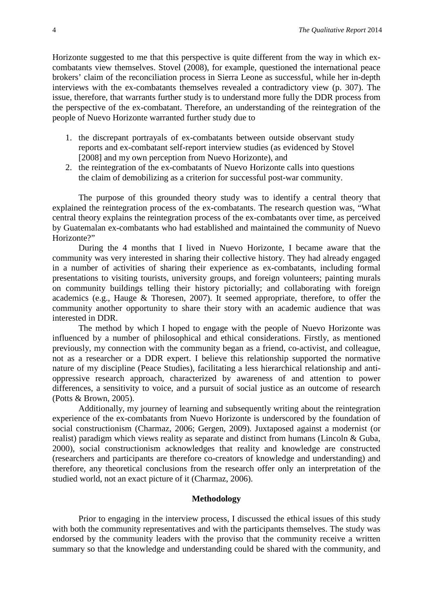Horizonte suggested to me that this perspective is quite different from the way in which excombatants view themselves. Stovel (2008), for example, questioned the international peace brokers' claim of the reconciliation process in Sierra Leone as successful, while her in-depth interviews with the ex-combatants themselves revealed a contradictory view (p. 307). The issue, therefore, that warrants further study is to understand more fully the DDR process from the perspective of the ex-combatant. Therefore, an understanding of the reintegration of the people of Nuevo Horizonte warranted further study due to

- 1. the discrepant portrayals of ex-combatants between outside observant study reports and ex-combatant self-report interview studies (as evidenced by Stovel [2008] and my own perception from Nuevo Horizonte), and
- 2. the reintegration of the ex-combatants of Nuevo Horizonte calls into questions the claim of demobilizing as a criterion for successful post-war community.

The purpose of this grounded theory study was to identify a central theory that explained the reintegration process of the ex-combatants. The research question was, "What central theory explains the reintegration process of the ex-combatants over time, as perceived by Guatemalan ex-combatants who had established and maintained the community of Nuevo Horizonte?"

During the 4 months that I lived in Nuevo Horizonte, I became aware that the community was very interested in sharing their collective history. They had already engaged in a number of activities of sharing their experience as ex-combatants, including formal presentations to visiting tourists, university groups, and foreign volunteers; painting murals on community buildings telling their history pictorially; and collaborating with foreign academics (e.g., Hauge & Thoresen, 2007). It seemed appropriate, therefore, to offer the community another opportunity to share their story with an academic audience that was interested in DDR.

The method by which I hoped to engage with the people of Nuevo Horizonte was influenced by a number of philosophical and ethical considerations. Firstly, as mentioned previously, my connection with the community began as a friend, co-activist, and colleague, not as a researcher or a DDR expert. I believe this relationship supported the normative nature of my discipline (Peace Studies), facilitating a less hierarchical relationship and antioppressive research approach, characterized by awareness of and attention to power differences, a sensitivity to voice, and a pursuit of social justice as an outcome of research (Potts & Brown, 2005).

Additionally, my journey of learning and subsequently writing about the reintegration experience of the ex-combatants from Nuevo Horizonte is underscored by the foundation of social constructionism (Charmaz, 2006; Gergen, 2009). Juxtaposed against a modernist (or realist) paradigm which views reality as separate and distinct from humans (Lincoln & Guba, 2000), social constructionism acknowledges that reality and knowledge are constructed (researchers and participants are therefore co-creators of knowledge and understanding) and therefore, any theoretical conclusions from the research offer only an interpretation of the studied world, not an exact picture of it (Charmaz, 2006).

## **Methodology**

Prior to engaging in the interview process, I discussed the ethical issues of this study with both the community representatives and with the participants themselves. The study was endorsed by the community leaders with the proviso that the community receive a written summary so that the knowledge and understanding could be shared with the community, and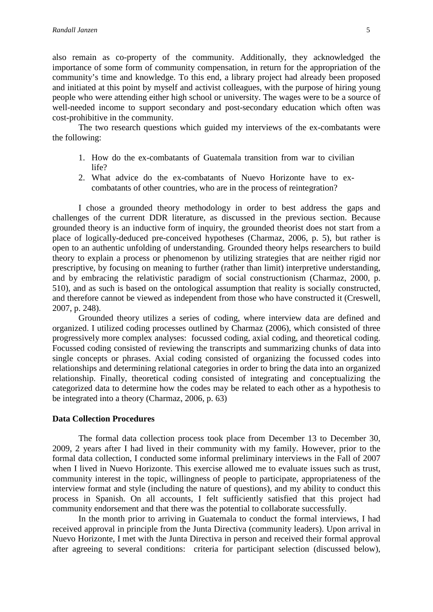also remain as co-property of the community. Additionally, they acknowledged the importance of some form of community compensation, in return for the appropriation of the community's time and knowledge. To this end, a library project had already been proposed and initiated at this point by myself and activist colleagues, with the purpose of hiring young people who were attending either high school or university. The wages were to be a source of well-needed income to support secondary and post-secondary education which often was cost-prohibitive in the community.

The two research questions which guided my interviews of the ex-combatants were the following:

- 1. How do the ex-combatants of Guatemala transition from war to civilian life?
- 2. What advice do the ex-combatants of Nuevo Horizonte have to excombatants of other countries, who are in the process of reintegration?

I chose a grounded theory methodology in order to best address the gaps and challenges of the current DDR literature, as discussed in the previous section. Because grounded theory is an inductive form of inquiry, the grounded theorist does not start from a place of logically-deduced pre-conceived hypotheses (Charmaz, 2006, p. 5), but rather is open to an authentic unfolding of understanding. Grounded theory helps researchers to build theory to explain a process or phenomenon by utilizing strategies that are neither rigid nor prescriptive, by focusing on meaning to further (rather than limit) interpretive understanding, and by embracing the relativistic paradigm of social constructionism (Charmaz, 2000, p. 510), and as such is based on the ontological assumption that reality is socially constructed, and therefore cannot be viewed as independent from those who have constructed it (Creswell, 2007, p. 248).

Grounded theory utilizes a series of coding, where interview data are defined and organized. I utilized coding processes outlined by Charmaz (2006), which consisted of three progressively more complex analyses: focussed coding, axial coding, and theoretical coding. Focussed coding consisted of reviewing the transcripts and summarizing chunks of data into single concepts or phrases. Axial coding consisted of organizing the focussed codes into relationships and determining relational categories in order to bring the data into an organized relationship. Finally, theoretical coding consisted of integrating and conceptualizing the categorized data to determine how the codes may be related to each other as a hypothesis to be integrated into a theory (Charmaz, 2006, p. 63)

## **Data Collection Procedures**

The formal data collection process took place from December 13 to December 30, 2009, 2 years after I had lived in their community with my family. However, prior to the formal data collection, I conducted some informal preliminary interviews in the Fall of 2007 when I lived in Nuevo Horizonte. This exercise allowed me to evaluate issues such as trust, community interest in the topic, willingness of people to participate, appropriateness of the interview format and style (including the nature of questions), and my ability to conduct this process in Spanish. On all accounts, I felt sufficiently satisfied that this project had community endorsement and that there was the potential to collaborate successfully.

In the month prior to arriving in Guatemala to conduct the formal interviews, I had received approval in principle from the Junta Directiva (community leaders). Upon arrival in Nuevo Horizonte, I met with the Junta Directiva in person and received their formal approval after agreeing to several conditions: criteria for participant selection (discussed below),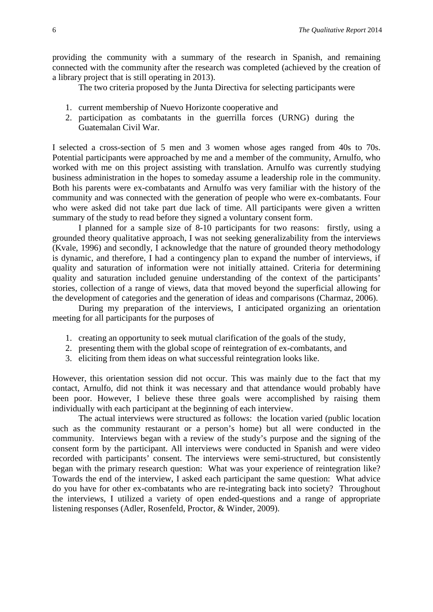providing the community with a summary of the research in Spanish, and remaining connected with the community after the research was completed (achieved by the creation of a library project that is still operating in 2013).

The two criteria proposed by the Junta Directiva for selecting participants were

- 1. current membership of Nuevo Horizonte cooperative and
- 2. participation as combatants in the guerrilla forces (URNG) during the Guatemalan Civil War.

I selected a cross-section of 5 men and 3 women whose ages ranged from 40s to 70s. Potential participants were approached by me and a member of the community, Arnulfo, who worked with me on this project assisting with translation. Arnulfo was currently studying business administration in the hopes to someday assume a leadership role in the community. Both his parents were ex-combatants and Arnulfo was very familiar with the history of the community and was connected with the generation of people who were ex-combatants. Four who were asked did not take part due lack of time. All participants were given a written summary of the study to read before they signed a voluntary consent form.

I planned for a sample size of 8-10 participants for two reasons: firstly, using a grounded theory qualitative approach, I was not seeking generalizability from the interviews (Kvale, 1996) and secondly, I acknowledge that the nature of grounded theory methodology is dynamic, and therefore, I had a contingency plan to expand the number of interviews, if quality and saturation of information were not initially attained. Criteria for determining quality and saturation included genuine understanding of the context of the participants' stories, collection of a range of views, data that moved beyond the superficial allowing for the development of categories and the generation of ideas and comparisons (Charmaz, 2006).

During my preparation of the interviews, I anticipated organizing an orientation meeting for all participants for the purposes of

- 1. creating an opportunity to seek mutual clarification of the goals of the study,
- 2. presenting them with the global scope of reintegration of ex-combatants, and
- 3. eliciting from them ideas on what successful reintegration looks like.

However, this orientation session did not occur. This was mainly due to the fact that my contact, Arnulfo, did not think it was necessary and that attendance would probably have been poor. However, I believe these three goals were accomplished by raising them individually with each participant at the beginning of each interview.

The actual interviews were structured as follows: the location varied (public location such as the community restaurant or a person's home) but all were conducted in the community. Interviews began with a review of the study's purpose and the signing of the consent form by the participant. All interviews were conducted in Spanish and were video recorded with participants' consent. The interviews were semi-structured, but consistently began with the primary research question: What was your experience of reintegration like? Towards the end of the interview, I asked each participant the same question: What advice do you have for other ex-combatants who are re-integrating back into society? Throughout the interviews, I utilized a variety of open ended-questions and a range of appropriate listening responses (Adler, Rosenfeld, Proctor, & Winder, 2009).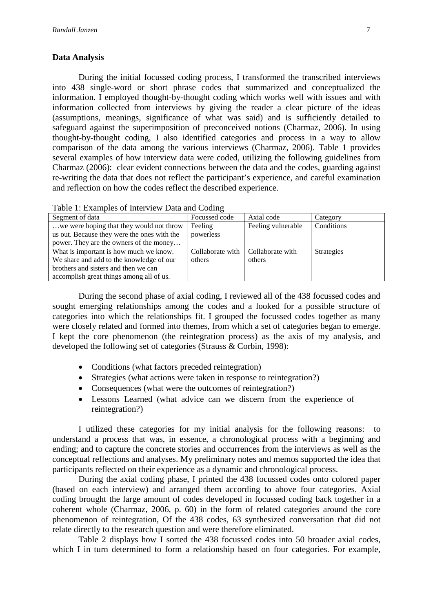## **Data Analysis**

During the initial focussed coding process, I transformed the transcribed interviews into 438 single-word or short phrase codes that summarized and conceptualized the information. I employed thought-by-thought coding which works well with issues and with information collected from interviews by giving the reader a clear picture of the ideas (assumptions, meanings, significance of what was said) and is sufficiently detailed to safeguard against the superimposition of preconceived notions (Charmaz, 2006). In using thought-by-thought coding, I also identified categories and process in a way to allow comparison of the data among the various interviews (Charmaz, 2006). Table 1 provides several examples of how interview data were coded, utilizing the following guidelines from Charmaz (2006): clear evident connections between the data and the codes, guarding against re-writing the data that does not reflect the participant's experience, and careful examination and reflection on how the codes reflect the described experience.

| Segment of data                             | Focussed code    | Axial code         | Category          |
|---------------------------------------------|------------------|--------------------|-------------------|
| we were hoping that they would not throw    | Feeling          | Feeling vulnerable | Conditions        |
| us out. Because they were the ones with the | powerless        |                    |                   |
| power. They are the owners of the money     |                  |                    |                   |
| What is important is how much we know.      | Collaborate with | Collaborate with   | <b>Strategies</b> |
| We share and add to the knowledge of our    | others           | others             |                   |
| brothers and sisters and then we can        |                  |                    |                   |
| accomplish great things among all of us.    |                  |                    |                   |

During the second phase of axial coding, I reviewed all of the 438 focussed codes and sought emerging relationships among the codes and a looked for a possible structure of categories into which the relationships fit. I grouped the focussed codes together as many were closely related and formed into themes, from which a set of categories began to emerge. I kept the core phenomenon (the reintegration process) as the axis of my analysis, and developed the following set of categories (Strauss & Corbin, 1998):

- Conditions (what factors preceded reintegration)
- Strategies (what actions were taken in response to reintegration?)
- Consequences (what were the outcomes of reintegration?)
- Lessons Learned (what advice can we discern from the experience of reintegration?)

I utilized these categories for my initial analysis for the following reasons: to understand a process that was, in essence, a chronological process with a beginning and ending; and to capture the concrete stories and occurrences from the interviews as well as the conceptual reflections and analyses. My preliminary notes and memos supported the idea that participants reflected on their experience as a dynamic and chronological process.

During the axial coding phase, I printed the 438 focussed codes onto colored paper (based on each interview) and arranged them according to above four categories. Axial coding brought the large amount of codes developed in focussed coding back together in a coherent whole (Charmaz, 2006, p. 60) in the form of related categories around the core phenomenon of reintegration, Of the 438 codes, 63 synthesized conversation that did not relate directly to the research question and were therefore eliminated.

Table 2 displays how I sorted the 438 focussed codes into 50 broader axial codes, which I in turn determined to form a relationship based on four categories. For example,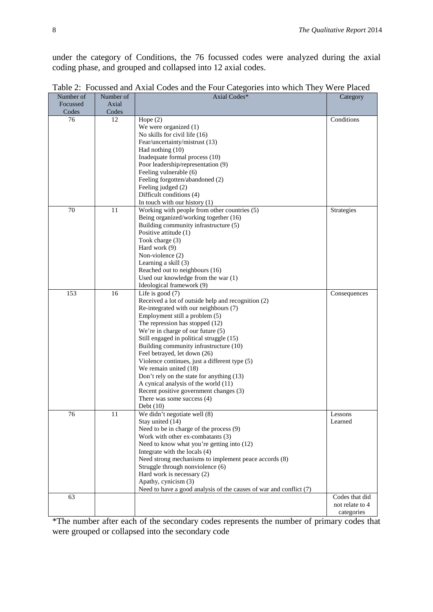under the category of Conditions, the 76 focussed codes were analyzed during the axial coding phase, and grouped and collapsed into 12 axial codes.

| Number of | Number of | Axial Codes*                                                                                | Category          |
|-----------|-----------|---------------------------------------------------------------------------------------------|-------------------|
| Focussed  | Axial     |                                                                                             |                   |
| Codes     | Codes     |                                                                                             |                   |
| 76        | 12        | Hope $(2)$                                                                                  | Conditions        |
|           |           | We were organized $(1)$                                                                     |                   |
|           |           | No skills for civil life (16)                                                               |                   |
|           |           | Fear/uncertainty/mistrust (13)                                                              |                   |
|           |           | Had nothing (10)                                                                            |                   |
|           |           | Inadequate formal process (10)                                                              |                   |
|           |           | Poor leadership/representation (9)                                                          |                   |
|           |           | Feeling vulnerable (6)                                                                      |                   |
|           |           | Feeling forgotten/abandoned (2)                                                             |                   |
|           |           | Feeling judged (2)                                                                          |                   |
|           |           | Difficult conditions (4)                                                                    |                   |
|           |           | In touch with our history $(1)$                                                             |                   |
| 70        | 11        | Working with people from other countries (5)                                                | <b>Strategies</b> |
|           |           | Being organized/working together (16)                                                       |                   |
|           |           | Building community infrastructure (5)                                                       |                   |
|           |           | Positive attitude (1)                                                                       |                   |
|           |           | Took charge (3)                                                                             |                   |
|           |           | Hard work (9)                                                                               |                   |
|           |           | Non-violence (2)                                                                            |                   |
|           |           | Learning a skill (3)                                                                        |                   |
|           |           | Reached out to neighbours (16)                                                              |                   |
|           |           |                                                                                             |                   |
|           |           | Used our knowledge from the war (1)<br>Ideological framework (9)                            |                   |
| 153       | 16        |                                                                                             |                   |
|           |           | Life is good $(7)$                                                                          | Consequences      |
|           |           | Received a lot of outside help and recognition (2)<br>Re-integrated with our neighbours (7) |                   |
|           |           |                                                                                             |                   |
|           |           | Employment still a problem (5)                                                              |                   |
|           |           | The repression has stopped (12)                                                             |                   |
|           |           | We're in charge of our future (5)                                                           |                   |
|           |           | Still engaged in political struggle (15)                                                    |                   |
|           |           | Building community infrastructure (10)                                                      |                   |
|           |           | Feel betrayed, let down (26)                                                                |                   |
|           |           | Violence continues, just a different type (5)                                               |                   |
|           |           | We remain united (18)                                                                       |                   |
|           |           | Don't rely on the state for anything (13)                                                   |                   |
|           |           | A cynical analysis of the world (11)                                                        |                   |
|           |           | Recent positive government changes (3)                                                      |                   |
|           |           | There was some success $(4)$                                                                |                   |
|           |           | Debt $(10)$                                                                                 |                   |
| 76        | 11        | We didn't negotiate well (8)                                                                | Lessons           |
|           |           | Stay united (14)                                                                            | Learned           |
|           |           | Need to be in charge of the process (9)                                                     |                   |
|           |           | Work with other ex-combatants (3)                                                           |                   |
|           |           | Need to know what you're getting into (12)                                                  |                   |
|           |           | Integrate with the locals (4)                                                               |                   |
|           |           | Need strong mechanisms to implement peace accords (8)                                       |                   |
|           |           | Struggle through nonviolence (6)                                                            |                   |
|           |           | Hard work is necessary (2)                                                                  |                   |
|           |           | Apathy, cynicism (3)                                                                        |                   |
|           |           | Need to have a good analysis of the causes of war and conflict (7)                          |                   |
| 63        |           |                                                                                             | Codes that did    |
|           |           |                                                                                             | not relate to 4   |
|           |           |                                                                                             | categories        |

Table 2: Focussed and Axial Codes and the Four Categories into which They Were Placed

\*The number after each of the secondary codes represents the number of primary codes that were grouped or collapsed into the secondary code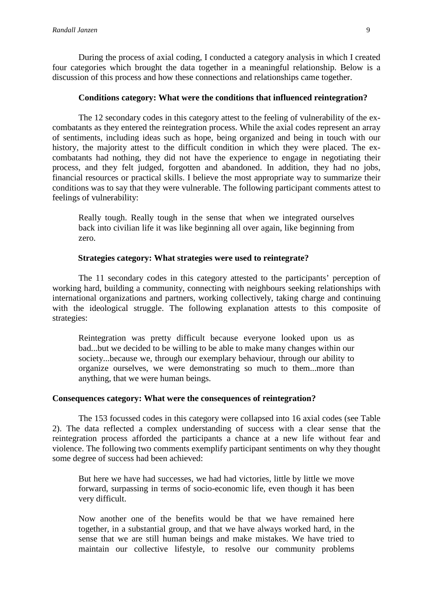During the process of axial coding, I conducted a category analysis in which I created four categories which brought the data together in a meaningful relationship. Below is a discussion of this process and how these connections and relationships came together.

## **Conditions category: What were the conditions that influenced reintegration?**

The 12 secondary codes in this category attest to the feeling of vulnerability of the excombatants as they entered the reintegration process. While the axial codes represent an array of sentiments, including ideas such as hope, being organized and being in touch with our history, the majority attest to the difficult condition in which they were placed. The excombatants had nothing, they did not have the experience to engage in negotiating their process, and they felt judged, forgotten and abandoned. In addition, they had no jobs, financial resources or practical skills. I believe the most appropriate way to summarize their conditions was to say that they were vulnerable. The following participant comments attest to feelings of vulnerability:

Really tough. Really tough in the sense that when we integrated ourselves back into civilian life it was like beginning all over again, like beginning from zero.

## **Strategies category: What strategies were used to reintegrate?**

The 11 secondary codes in this category attested to the participants' perception of working hard, building a community, connecting with neighbours seeking relationships with international organizations and partners, working collectively, taking charge and continuing with the ideological struggle. The following explanation attests to this composite of strategies:

Reintegration was pretty difficult because everyone looked upon us as bad...but we decided to be willing to be able to make many changes within our society...because we, through our exemplary behaviour, through our ability to organize ourselves, we were demonstrating so much to them...more than anything, that we were human beings.

## **Consequences category: What were the consequences of reintegration?**

The 153 focussed codes in this category were collapsed into 16 axial codes (see Table 2). The data reflected a complex understanding of success with a clear sense that the reintegration process afforded the participants a chance at a new life without fear and violence. The following two comments exemplify participant sentiments on why they thought some degree of success had been achieved:

But here we have had successes, we had had victories, little by little we move forward, surpassing in terms of socio-economic life, even though it has been very difficult.

Now another one of the benefits would be that we have remained here together, in a substantial group, and that we have always worked hard, in the sense that we are still human beings and make mistakes. We have tried to maintain our collective lifestyle, to resolve our community problems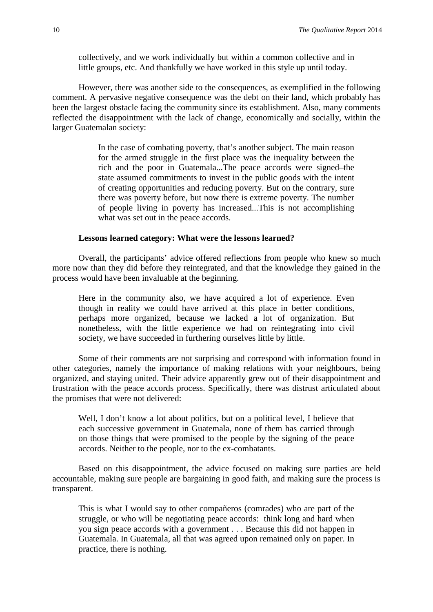collectively, and we work individually but within a common collective and in little groups, etc. And thankfully we have worked in this style up until today.

However, there was another side to the consequences, as exemplified in the following comment. A pervasive negative consequence was the debt on their land, which probably has been the largest obstacle facing the community since its establishment. Also, many comments reflected the disappointment with the lack of change, economically and socially, within the larger Guatemalan society:

> In the case of combating poverty, that's another subject. The main reason for the armed struggle in the first place was the inequality between the rich and the poor in Guatemala...The peace accords were signed–the state assumed commitments to invest in the public goods with the intent of creating opportunities and reducing poverty. But on the contrary, sure there was poverty before, but now there is extreme poverty. The number of people living in poverty has increased...This is not accomplishing what was set out in the peace accords.

## **Lessons learned category: What were the lessons learned?**

Overall, the participants' advice offered reflections from people who knew so much more now than they did before they reintegrated, and that the knowledge they gained in the process would have been invaluable at the beginning.

Here in the community also, we have acquired a lot of experience. Even though in reality we could have arrived at this place in better conditions, perhaps more organized, because we lacked a lot of organization. But nonetheless, with the little experience we had on reintegrating into civil society, we have succeeded in furthering ourselves little by little.

Some of their comments are not surprising and correspond with information found in other categories, namely the importance of making relations with your neighbours, being organized, and staying united. Their advice apparently grew out of their disappointment and frustration with the peace accords process. Specifically, there was distrust articulated about the promises that were not delivered:

Well, I don't know a lot about politics, but on a political level, I believe that each successive government in Guatemala, none of them has carried through on those things that were promised to the people by the signing of the peace accords. Neither to the people, nor to the ex-combatants.

Based on this disappointment, the advice focused on making sure parties are held accountable, making sure people are bargaining in good faith, and making sure the process is transparent.

This is what I would say to other compañeros (comrades) who are part of the struggle, or who will be negotiating peace accords: think long and hard when you sign peace accords with a government . . . Because this did not happen in Guatemala. In Guatemala, all that was agreed upon remained only on paper. In practice, there is nothing.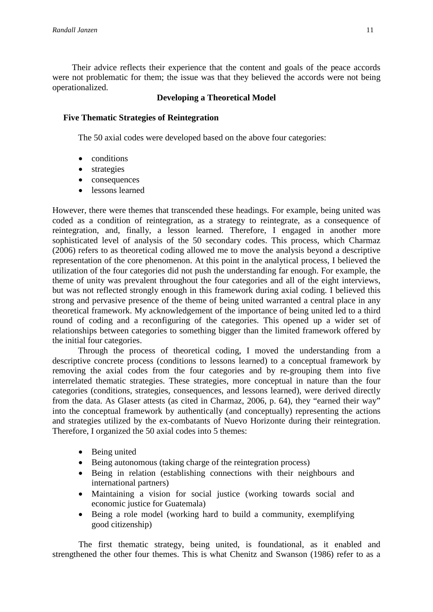Their advice reflects their experience that the content and goals of the peace accords were not problematic for them; the issue was that they believed the accords were not being operationalized.

## **Developing a Theoretical Model**

## **Five Thematic Strategies of Reintegration**

The 50 axial codes were developed based on the above four categories:

- conditions
- strategies
- consequences
- lessons learned

However, there were themes that transcended these headings. For example, being united was coded as a condition of reintegration, as a strategy to reintegrate, as a consequence of reintegration, and, finally, a lesson learned. Therefore, I engaged in another more sophisticated level of analysis of the 50 secondary codes. This process, which Charmaz (2006) refers to as theoretical coding allowed me to move the analysis beyond a descriptive representation of the core phenomenon. At this point in the analytical process, I believed the utilization of the four categories did not push the understanding far enough. For example, the theme of unity was prevalent throughout the four categories and all of the eight interviews, but was not reflected strongly enough in this framework during axial coding. I believed this strong and pervasive presence of the theme of being united warranted a central place in any theoretical framework. My acknowledgement of the importance of being united led to a third round of coding and a reconfiguring of the categories. This opened up a wider set of relationships between categories to something bigger than the limited framework offered by the initial four categories.

Through the process of theoretical coding, I moved the understanding from a descriptive concrete process (conditions to lessons learned) to a conceptual framework by removing the axial codes from the four categories and by re-grouping them into five interrelated thematic strategies. These strategies, more conceptual in nature than the four categories (conditions, strategies, consequences, and lessons learned), were derived directly from the data. As Glaser attests (as cited in Charmaz, 2006, p. 64), they "earned their way" into the conceptual framework by authentically (and conceptually) representing the actions and strategies utilized by the ex-combatants of Nuevo Horizonte during their reintegration. Therefore, I organized the 50 axial codes into 5 themes:

- Being united
- Being autonomous (taking charge of the reintegration process)
- Being in relation (establishing connections with their neighbours and international partners)
- Maintaining a vision for social justice (working towards social and economic justice for Guatemala)
- Being a role model (working hard to build a community, exemplifying good citizenship)

The first thematic strategy, being united, is foundational, as it enabled and strengthened the other four themes. This is what Chenitz and Swanson (1986) refer to as a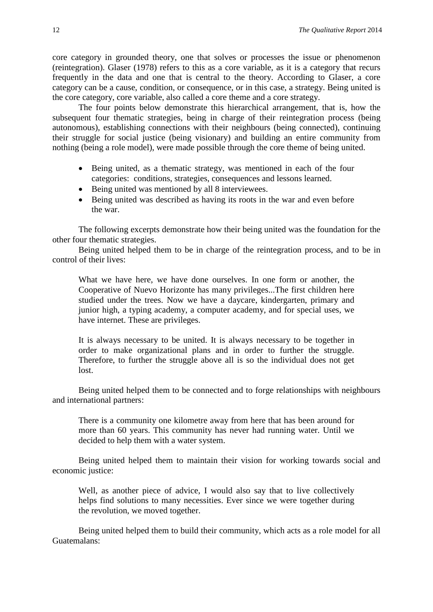core category in grounded theory, one that solves or processes the issue or phenomenon (reintegration). Glaser (1978) refers to this as a core variable, as it is a category that recurs frequently in the data and one that is central to the theory. According to Glaser, a core category can be a cause, condition, or consequence, or in this case, a strategy. Being united is the core category, core variable, also called a core theme and a core strategy.

The four points below demonstrate this hierarchical arrangement, that is, how the subsequent four thematic strategies, being in charge of their reintegration process (being autonomous), establishing connections with their neighbours (being connected), continuing their struggle for social justice (being visionary) and building an entire community from nothing (being a role model), were made possible through the core theme of being united.

- Being united, as a thematic strategy, was mentioned in each of the four categories: conditions, strategies, consequences and lessons learned.
- Being united was mentioned by all 8 interviewees.
- Being united was described as having its roots in the war and even before the war.

The following excerpts demonstrate how their being united was the foundation for the other four thematic strategies.

Being united helped them to be in charge of the reintegration process, and to be in control of their lives:

What we have here, we have done ourselves. In one form or another, the Cooperative of Nuevo Horizonte has many privileges...The first children here studied under the trees. Now we have a daycare, kindergarten, primary and junior high, a typing academy, a computer academy, and for special uses, we have internet. These are privileges.

It is always necessary to be united. It is always necessary to be together in order to make organizational plans and in order to further the struggle. Therefore, to further the struggle above all is so the individual does not get lost.

Being united helped them to be connected and to forge relationships with neighbours and international partners:

There is a community one kilometre away from here that has been around for more than 60 years. This community has never had running water. Until we decided to help them with a water system.

Being united helped them to maintain their vision for working towards social and economic justice:

Well, as another piece of advice, I would also say that to live collectively helps find solutions to many necessities. Ever since we were together during the revolution, we moved together.

Being united helped them to build their community, which acts as a role model for all Guatemalans: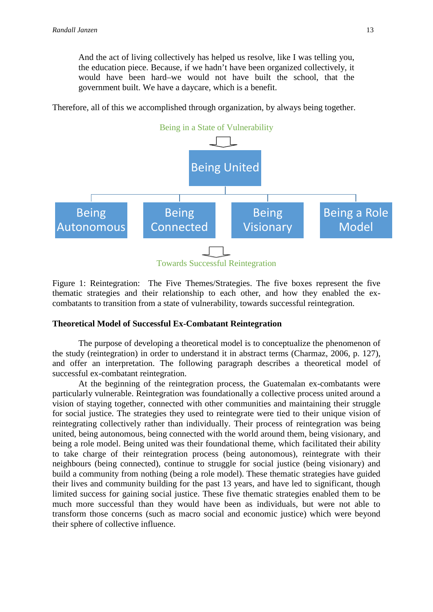And the act of living collectively has helped us resolve, like I was telling you, the education piece. Because, if we hadn't have been organized collectively, it would have been hard–we would not have built the school, that the government built. We have a daycare, which is a benefit.

Therefore, all of this we accomplished through organization, by always being together.



Figure 1: Reintegration: The Five Themes/Strategies. The five boxes represent the five thematic strategies and their relationship to each other, and how they enabled the excombatants to transition from a state of vulnerability, towards successful reintegration.

## **Theoretical Model of Successful Ex-Combatant Reintegration**

The purpose of developing a theoretical model is to conceptualize the phenomenon of the study (reintegration) in order to understand it in abstract terms (Charmaz, 2006, p. 127), and offer an interpretation. The following paragraph describes a theoretical model of successful ex-combatant reintegration.

At the beginning of the reintegration process, the Guatemalan ex-combatants were particularly vulnerable. Reintegration was foundationally a collective process united around a vision of staying together, connected with other communities and maintaining their struggle for social justice. The strategies they used to reintegrate were tied to their unique vision of reintegrating collectively rather than individually. Their process of reintegration was being united, being autonomous, being connected with the world around them, being visionary, and being a role model. Being united was their foundational theme, which facilitated their ability to take charge of their reintegration process (being autonomous), reintegrate with their neighbours (being connected), continue to struggle for social justice (being visionary) and build a community from nothing (being a role model). These thematic strategies have guided their lives and community building for the past 13 years, and have led to significant, though limited success for gaining social justice. These five thematic strategies enabled them to be much more successful than they would have been as individuals, but were not able to transform those concerns (such as macro social and economic justice) which were beyond their sphere of collective influence.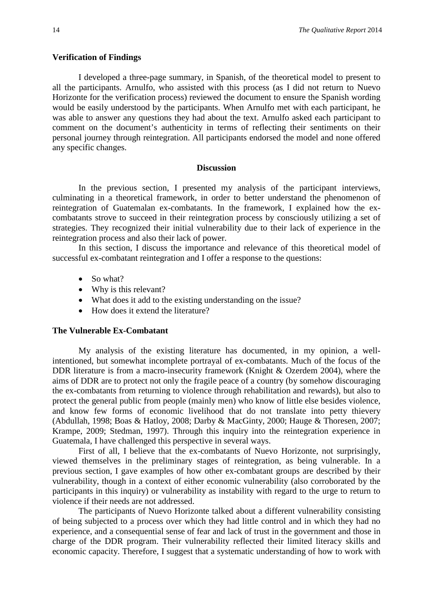## **Verification of Findings**

I developed a three-page summary, in Spanish, of the theoretical model to present to all the participants. Arnulfo, who assisted with this process (as I did not return to Nuevo Horizonte for the verification process) reviewed the document to ensure the Spanish wording would be easily understood by the participants. When Arnulfo met with each participant, he was able to answer any questions they had about the text. Arnulfo asked each participant to comment on the document's authenticity in terms of reflecting their sentiments on their personal journey through reintegration. All participants endorsed the model and none offered any specific changes.

#### **Discussion**

In the previous section, I presented my analysis of the participant interviews, culminating in a theoretical framework, in order to better understand the phenomenon of reintegration of Guatemalan ex-combatants. In the framework, I explained how the excombatants strove to succeed in their reintegration process by consciously utilizing a set of strategies. They recognized their initial vulnerability due to their lack of experience in the reintegration process and also their lack of power.

In this section, I discuss the importance and relevance of this theoretical model of successful ex-combatant reintegration and I offer a response to the questions:

- So what?
- Why is this relevant?
- What does it add to the existing understanding on the issue?
- How does it extend the literature?

#### **The Vulnerable Ex-Combatant**

My analysis of the existing literature has documented, in my opinion, a wellintentioned, but somewhat incomplete portrayal of ex-combatants. Much of the focus of the DDR literature is from a macro-insecurity framework (Knight & Ozerdem 2004), where the aims of DDR are to protect not only the fragile peace of a country (by somehow discouraging the ex-combatants from returning to violence through rehabilitation and rewards), but also to protect the general public from people (mainly men) who know of little else besides violence, and know few forms of economic livelihood that do not translate into petty thievery (Abdullah, 1998; Boas & Hatloy, 2008; Darby & MacGinty, 2000; Hauge & Thoresen, 2007; Krampe, 2009; Stedman, 1997). Through this inquiry into the reintegration experience in Guatemala, I have challenged this perspective in several ways.

First of all, I believe that the ex-combatants of Nuevo Horizonte, not surprisingly, viewed themselves in the preliminary stages of reintegration, as being vulnerable. In a previous section, I gave examples of how other ex-combatant groups are described by their vulnerability, though in a context of either economic vulnerability (also corroborated by the participants in this inquiry) or vulnerability as instability with regard to the urge to return to violence if their needs are not addressed.

The participants of Nuevo Horizonte talked about a different vulnerability consisting of being subjected to a process over which they had little control and in which they had no experience, and a consequential sense of fear and lack of trust in the government and those in charge of the DDR program. Their vulnerability reflected their limited literacy skills and economic capacity. Therefore, I suggest that a systematic understanding of how to work with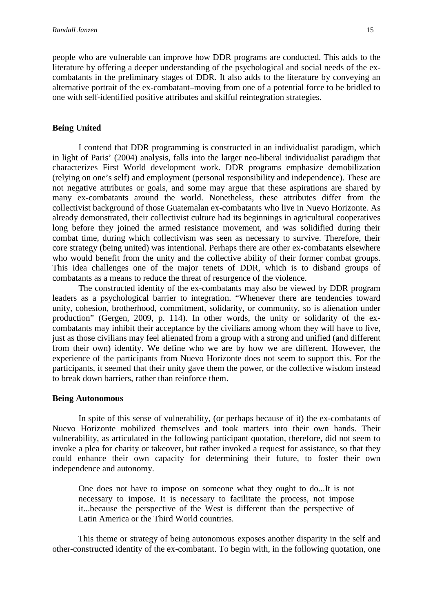people who are vulnerable can improve how DDR programs are conducted. This adds to the literature by offering a deeper understanding of the psychological and social needs of the excombatants in the preliminary stages of DDR. It also adds to the literature by conveying an alternative portrait of the ex-combatant–moving from one of a potential force to be bridled to one with self-identified positive attributes and skilful reintegration strategies.

### **Being United**

I contend that DDR programming is constructed in an individualist paradigm, which in light of Paris' (2004) analysis, falls into the larger neo-liberal individualist paradigm that characterizes First World development work. DDR programs emphasize demobilization (relying on one's self) and employment (personal responsibility and independence). These are not negative attributes or goals, and some may argue that these aspirations are shared by many ex-combatants around the world. Nonetheless, these attributes differ from the collectivist background of those Guatemalan ex-combatants who live in Nuevo Horizonte. As already demonstrated, their collectivist culture had its beginnings in agricultural cooperatives long before they joined the armed resistance movement, and was solidified during their combat time, during which collectivism was seen as necessary to survive. Therefore, their core strategy (being united) was intentional. Perhaps there are other ex-combatants elsewhere who would benefit from the unity and the collective ability of their former combat groups. This idea challenges one of the major tenets of DDR, which is to disband groups of combatants as a means to reduce the threat of resurgence of the violence.

The constructed identity of the ex-combatants may also be viewed by DDR program leaders as a psychological barrier to integration. "Whenever there are tendencies toward unity, cohesion, brotherhood, commitment, solidarity, or community, so is alienation under production" (Gergen, 2009, p. 114). In other words, the unity or solidarity of the excombatants may inhibit their acceptance by the civilians among whom they will have to live, just as those civilians may feel alienated from a group with a strong and unified (and different from their own) identity. We define who we are by how we are different. However, the experience of the participants from Nuevo Horizonte does not seem to support this. For the participants, it seemed that their unity gave them the power, or the collective wisdom instead to break down barriers, rather than reinforce them.

## **Being Autonomous**

In spite of this sense of vulnerability, (or perhaps because of it) the ex-combatants of Nuevo Horizonte mobilized themselves and took matters into their own hands. Their vulnerability, as articulated in the following participant quotation, therefore, did not seem to invoke a plea for charity or takeover, but rather invoked a request for assistance, so that they could enhance their own capacity for determining their future, to foster their own independence and autonomy.

One does not have to impose on someone what they ought to do...It is not necessary to impose. It is necessary to facilitate the process, not impose it...because the perspective of the West is different than the perspective of Latin America or the Third World countries.

This theme or strategy of being autonomous exposes another disparity in the self and other-constructed identity of the ex-combatant. To begin with, in the following quotation, one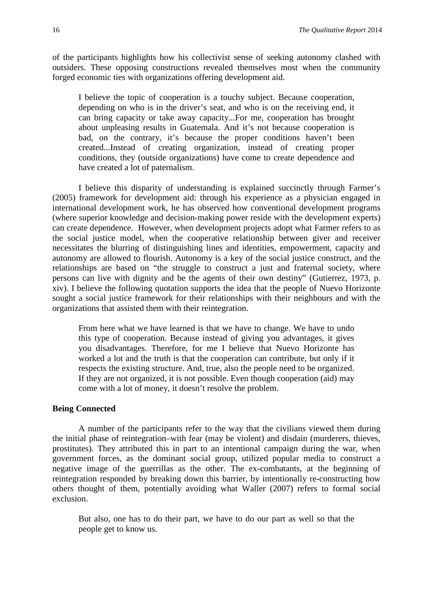of the participants highlights how his collectivist sense of seeking autonomy clashed with outsiders. These opposing constructions revealed themselves most when the community forged economic ties with organizations offering development aid.

I believe the topic of cooperation is a touchy subject. Because cooperation, depending on who is in the driver's seat, and who is on the receiving end, it can bring capacity or take away capacity...For me, cooperation has brought about unpleasing results in Guatemala. And it's not because cooperation is bad, on the contrary, it's because the proper conditions haven't been created...Instead of creating organization, instead of creating proper conditions, they (outside organizations) have come to create dependence and have created a lot of paternalism.

I believe this disparity of understanding is explained succinctly through Farmer's (2005) framework for development aid: through his experience as a physician engaged in international development work, he has observed how conventional development programs (where superior knowledge and decision-making power reside with the development experts) can create dependence. However, when development projects adopt what Farmer refers to as the social justice model, when the cooperative relationship between giver and receiver necessitates the blurring of distinguishing lines and identities, empowerment, capacity and autonomy are allowed to flourish. Autonomy is a key of the social justice construct, and the relationships are based on "the struggle to construct a just and fraternal society, where persons can live with dignity and be the agents of their own destiny" (Gutierrez, 1973, p. xiv). I believe the following quotation supports the idea that the people of Nuevo Horizonte sought a social justice framework for their relationships with their neighbours and with the organizations that assisted them with their reintegration.

From here what we have learned is that we have to change. We have to undo this type of cooperation. Because instead of giving you advantages, it gives you disadvantages. Therefore, for me I believe that Nuevo Horizonte has worked a lot and the truth is that the cooperation can contribute, but only if it respects the existing structure. And, true, also the people need to be organized. If they are not organized, it is not possible. Even though cooperation (aid) may come with a lot of money, it doesn't resolve the problem.

## **Being Connected**

A number of the participants refer to the way that the civilians viewed them during the initial phase of reintegration–with fear (may be violent) and disdain (murderers, thieves, prostitutes). They attributed this in part to an intentional campaign during the war, when government forces, as the dominant social group, utilized popular media to construct a negative image of the guerrillas as the other. The ex-combatants, at the beginning of reintegration responded by breaking down this barrier, by intentionally re-constructing how others thought of them, potentially avoiding what Waller (2007) refers to formal social exclusion.

But also, one has to do their part, we have to do our part as well so that the people get to know us.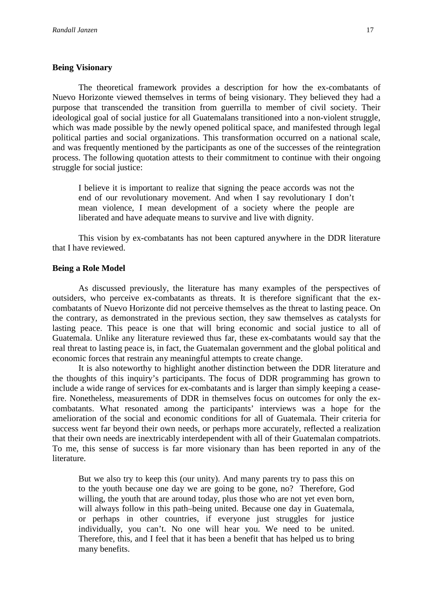## **Being Visionary**

The theoretical framework provides a description for how the ex-combatants of Nuevo Horizonte viewed themselves in terms of being visionary. They believed they had a purpose that transcended the transition from guerrilla to member of civil society. Their ideological goal of social justice for all Guatemalans transitioned into a non-violent struggle, which was made possible by the newly opened political space, and manifested through legal political parties and social organizations. This transformation occurred on a national scale, and was frequently mentioned by the participants as one of the successes of the reintegration process. The following quotation attests to their commitment to continue with their ongoing struggle for social justice:

I believe it is important to realize that signing the peace accords was not the end of our revolutionary movement. And when I say revolutionary I don't mean violence, I mean development of a society where the people are liberated and have adequate means to survive and live with dignity.

This vision by ex-combatants has not been captured anywhere in the DDR literature that I have reviewed.

## **Being a Role Model**

As discussed previously, the literature has many examples of the perspectives of outsiders, who perceive ex-combatants as threats. It is therefore significant that the excombatants of Nuevo Horizonte did not perceive themselves as the threat to lasting peace. On the contrary, as demonstrated in the previous section, they saw themselves as catalysts for lasting peace. This peace is one that will bring economic and social justice to all of Guatemala. Unlike any literature reviewed thus far, these ex-combatants would say that the real threat to lasting peace is, in fact, the Guatemalan government and the global political and economic forces that restrain any meaningful attempts to create change.

It is also noteworthy to highlight another distinction between the DDR literature and the thoughts of this inquiry's participants. The focus of DDR programming has grown to include a wide range of services for ex-combatants and is larger than simply keeping a ceasefire. Nonetheless, measurements of DDR in themselves focus on outcomes for only the excombatants. What resonated among the participants' interviews was a hope for the amelioration of the social and economic conditions for all of Guatemala. Their criteria for success went far beyond their own needs, or perhaps more accurately, reflected a realization that their own needs are inextricably interdependent with all of their Guatemalan compatriots. To me, this sense of success is far more visionary than has been reported in any of the literature.

But we also try to keep this (our unity). And many parents try to pass this on to the youth because one day we are going to be gone, no? Therefore, God willing, the youth that are around today, plus those who are not yet even born, will always follow in this path–being united. Because one day in Guatemala, or perhaps in other countries, if everyone just struggles for justice individually, you can't. No one will hear you. We need to be united. Therefore, this, and I feel that it has been a benefit that has helped us to bring many benefits.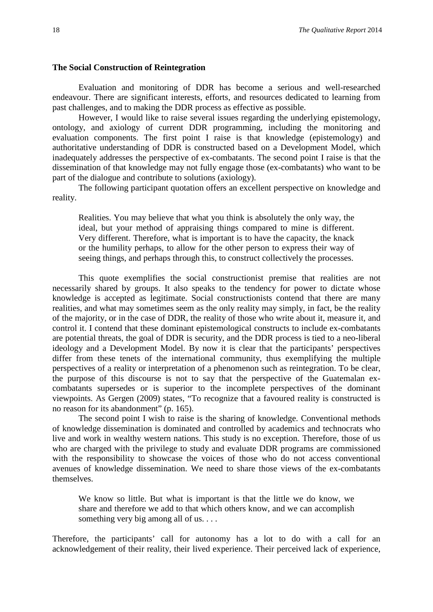#### **The Social Construction of Reintegration**

Evaluation and monitoring of DDR has become a serious and well-researched endeavour. There are significant interests, efforts, and resources dedicated to learning from past challenges, and to making the DDR process as effective as possible.

However, I would like to raise several issues regarding the underlying epistemology, ontology, and axiology of current DDR programming, including the monitoring and evaluation components. The first point I raise is that knowledge (epistemology) and authoritative understanding of DDR is constructed based on a Development Model, which inadequately addresses the perspective of ex-combatants. The second point I raise is that the dissemination of that knowledge may not fully engage those (ex-combatants) who want to be part of the dialogue and contribute to solutions (axiology).

The following participant quotation offers an excellent perspective on knowledge and reality.

Realities. You may believe that what you think is absolutely the only way, the ideal, but your method of appraising things compared to mine is different. Very different. Therefore, what is important is to have the capacity, the knack or the humility perhaps, to allow for the other person to express their way of seeing things, and perhaps through this, to construct collectively the processes.

This quote exemplifies the social constructionist premise that realities are not necessarily shared by groups. It also speaks to the tendency for power to dictate whose knowledge is accepted as legitimate. Social constructionists contend that there are many realities, and what may sometimes seem as the only reality may simply, in fact, be the reality of the majority, or in the case of DDR, the reality of those who write about it, measure it, and control it. I contend that these dominant epistemological constructs to include ex-combatants are potential threats, the goal of DDR is security, and the DDR process is tied to a neo-liberal ideology and a Development Model. By now it is clear that the participants' perspectives differ from these tenets of the international community, thus exemplifying the multiple perspectives of a reality or interpretation of a phenomenon such as reintegration. To be clear, the purpose of this discourse is not to say that the perspective of the Guatemalan excombatants supersedes or is superior to the incomplete perspectives of the dominant viewpoints. As Gergen (2009) states, "To recognize that a favoured reality is constructed is no reason for its abandonment" (p. 165).

The second point I wish to raise is the sharing of knowledge. Conventional methods of knowledge dissemination is dominated and controlled by academics and technocrats who live and work in wealthy western nations. This study is no exception. Therefore, those of us who are charged with the privilege to study and evaluate DDR programs are commissioned with the responsibility to showcase the voices of those who do not access conventional avenues of knowledge dissemination. We need to share those views of the ex-combatants themselves.

We know so little. But what is important is that the little we do know, we share and therefore we add to that which others know, and we can accomplish something very big among all of us. . . .

Therefore, the participants' call for autonomy has a lot to do with a call for an acknowledgement of their reality, their lived experience. Their perceived lack of experience,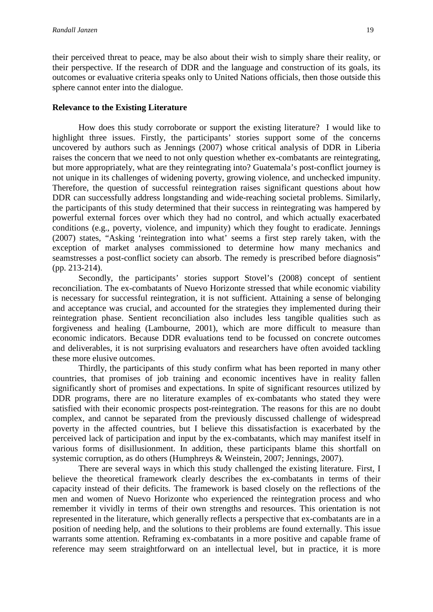their perceived threat to peace, may be also about their wish to simply share their reality, or their perspective. If the research of DDR and the language and construction of its goals, its outcomes or evaluative criteria speaks only to United Nations officials, then those outside this sphere cannot enter into the dialogue.

## **Relevance to the Existing Literature**

How does this study corroborate or support the existing literature? I would like to highlight three issues. Firstly, the participants' stories support some of the concerns uncovered by authors such as Jennings (2007) whose critical analysis of DDR in Liberia raises the concern that we need to not only question whether ex-combatants are reintegrating, but more appropriately, what are they reintegrating into? Guatemala's post-conflict journey is not unique in its challenges of widening poverty, growing violence, and unchecked impunity. Therefore, the question of successful reintegration raises significant questions about how DDR can successfully address longstanding and wide-reaching societal problems. Similarly, the participants of this study determined that their success in reintegrating was hampered by powerful external forces over which they had no control, and which actually exacerbated conditions (e.g., poverty, violence, and impunity) which they fought to eradicate. Jennings (2007) states, "Asking 'reintegration into what' seems a first step rarely taken, with the exception of market analyses commissioned to determine how many mechanics and seamstresses a post-conflict society can absorb. The remedy is prescribed before diagnosis" (pp. 213-214).

Secondly, the participants' stories support Stovel's (2008) concept of sentient reconciliation. The ex-combatants of Nuevo Horizonte stressed that while economic viability is necessary for successful reintegration, it is not sufficient. Attaining a sense of belonging and acceptance was crucial, and accounted for the strategies they implemented during their reintegration phase. Sentient reconciliation also includes less tangible qualities such as forgiveness and healing (Lambourne, 2001), which are more difficult to measure than economic indicators. Because DDR evaluations tend to be focussed on concrete outcomes and deliverables, it is not surprising evaluators and researchers have often avoided tackling these more elusive outcomes.

Thirdly, the participants of this study confirm what has been reported in many other countries, that promises of job training and economic incentives have in reality fallen significantly short of promises and expectations. In spite of significant resources utilized by DDR programs, there are no literature examples of ex-combatants who stated they were satisfied with their economic prospects post-reintegration. The reasons for this are no doubt complex, and cannot be separated from the previously discussed challenge of widespread poverty in the affected countries, but I believe this dissatisfaction is exacerbated by the perceived lack of participation and input by the ex-combatants, which may manifest itself in various forms of disillusionment. In addition, these participants blame this shortfall on systemic corruption, as do others (Humphreys & Weinstein, 2007; Jennings, 2007).

There are several ways in which this study challenged the existing literature. First, I believe the theoretical framework clearly describes the ex-combatants in terms of their capacity instead of their deficits. The framework is based closely on the reflections of the men and women of Nuevo Horizonte who experienced the reintegration process and who remember it vividly in terms of their own strengths and resources. This orientation is not represented in the literature, which generally reflects a perspective that ex-combatants are in a position of needing help, and the solutions to their problems are found externally. This issue warrants some attention. Reframing ex-combatants in a more positive and capable frame of reference may seem straightforward on an intellectual level, but in practice, it is more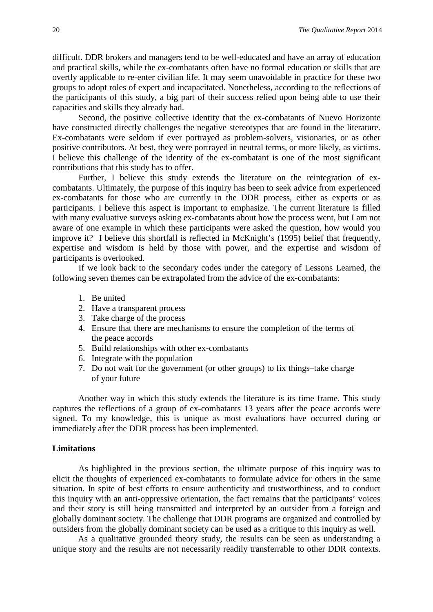difficult. DDR brokers and managers tend to be well-educated and have an array of education and practical skills, while the ex-combatants often have no formal education or skills that are overtly applicable to re-enter civilian life. It may seem unavoidable in practice for these two groups to adopt roles of expert and incapacitated. Nonetheless, according to the reflections of the participants of this study, a big part of their success relied upon being able to use their capacities and skills they already had.

Second, the positive collective identity that the ex-combatants of Nuevo Horizonte have constructed directly challenges the negative stereotypes that are found in the literature. Ex-combatants were seldom if ever portrayed as problem-solvers, visionaries, or as other positive contributors. At best, they were portrayed in neutral terms, or more likely, as victims. I believe this challenge of the identity of the ex-combatant is one of the most significant contributions that this study has to offer.

Further, I believe this study extends the literature on the reintegration of excombatants. Ultimately, the purpose of this inquiry has been to seek advice from experienced ex-combatants for those who are currently in the DDR process, either as experts or as participants. I believe this aspect is important to emphasize. The current literature is filled with many evaluative surveys asking ex-combatants about how the process went, but I am not aware of one example in which these participants were asked the question, how would you improve it? I believe this shortfall is reflected in McKnight's (1995) belief that frequently, expertise and wisdom is held by those with power, and the expertise and wisdom of participants is overlooked.

If we look back to the secondary codes under the category of Lessons Learned, the following seven themes can be extrapolated from the advice of the ex-combatants:

- 1. Be united
- 2. Have a transparent process
- 3. Take charge of the process
- 4. Ensure that there are mechanisms to ensure the completion of the terms of the peace accords
- 5. Build relationships with other ex-combatants
- 6. Integrate with the population
- 7. Do not wait for the government (or other groups) to fix things–take charge of your future

Another way in which this study extends the literature is its time frame. This study captures the reflections of a group of ex-combatants 13 years after the peace accords were signed. To my knowledge, this is unique as most evaluations have occurred during or immediately after the DDR process has been implemented.

#### **Limitations**

As highlighted in the previous section, the ultimate purpose of this inquiry was to elicit the thoughts of experienced ex-combatants to formulate advice for others in the same situation. In spite of best efforts to ensure authenticity and trustworthiness, and to conduct this inquiry with an anti-oppressive orientation, the fact remains that the participants' voices and their story is still being transmitted and interpreted by an outsider from a foreign and globally dominant society. The challenge that DDR programs are organized and controlled by outsiders from the globally dominant society can be used as a critique to this inquiry as well.

 As a qualitative grounded theory study, the results can be seen as understanding a unique story and the results are not necessarily readily transferrable to other DDR contexts.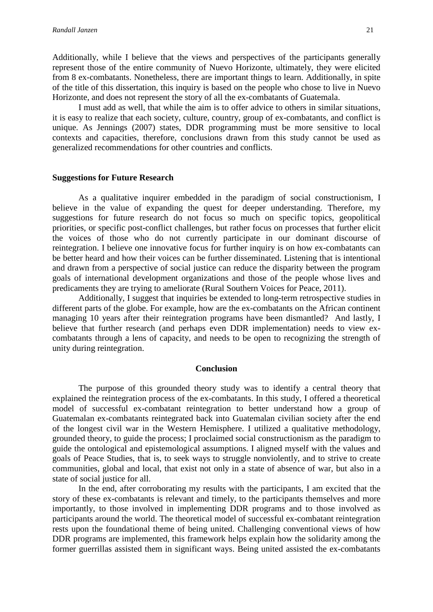Additionally, while I believe that the views and perspectives of the participants generally represent those of the entire community of Nuevo Horizonte, ultimately, they were elicited from 8 ex-combatants. Nonetheless, there are important things to learn. Additionally, in spite of the title of this dissertation, this inquiry is based on the people who chose to live in Nuevo Horizonte, and does not represent the story of all the ex-combatants of Guatemala.

I must add as well, that while the aim is to offer advice to others in similar situations, it is easy to realize that each society, culture, country, group of ex-combatants, and conflict is unique. As Jennings (2007) states, DDR programming must be more sensitive to local contexts and capacities, therefore, conclusions drawn from this study cannot be used as generalized recommendations for other countries and conflicts.

#### **Suggestions for Future Research**

As a qualitative inquirer embedded in the paradigm of social constructionism, I believe in the value of expanding the quest for deeper understanding. Therefore, my suggestions for future research do not focus so much on specific topics, geopolitical priorities, or specific post-conflict challenges, but rather focus on processes that further elicit the voices of those who do not currently participate in our dominant discourse of reintegration. I believe one innovative focus for further inquiry is on how ex-combatants can be better heard and how their voices can be further disseminated. Listening that is intentional and drawn from a perspective of social justice can reduce the disparity between the program goals of international development organizations and those of the people whose lives and predicaments they are trying to ameliorate (Rural Southern Voices for Peace, 2011).

Additionally, I suggest that inquiries be extended to long-term retrospective studies in different parts of the globe. For example, how are the ex-combatants on the African continent managing 10 years after their reintegration programs have been dismantled? And lastly, I believe that further research (and perhaps even DDR implementation) needs to view excombatants through a lens of capacity, and needs to be open to recognizing the strength of unity during reintegration.

#### **Conclusion**

The purpose of this grounded theory study was to identify a central theory that explained the reintegration process of the ex-combatants. In this study, I offered a theoretical model of successful ex-combatant reintegration to better understand how a group of Guatemalan ex-combatants reintegrated back into Guatemalan civilian society after the end of the longest civil war in the Western Hemisphere. I utilized a qualitative methodology, grounded theory, to guide the process; I proclaimed social constructionism as the paradigm to guide the ontological and epistemological assumptions. I aligned myself with the values and goals of Peace Studies, that is, to seek ways to struggle nonviolently, and to strive to create communities, global and local, that exist not only in a state of absence of war, but also in a state of social justice for all.

In the end, after corroborating my results with the participants, I am excited that the story of these ex-combatants is relevant and timely, to the participants themselves and more importantly, to those involved in implementing DDR programs and to those involved as participants around the world. The theoretical model of successful ex-combatant reintegration rests upon the foundational theme of being united. Challenging conventional views of how DDR programs are implemented, this framework helps explain how the solidarity among the former guerrillas assisted them in significant ways. Being united assisted the ex-combatants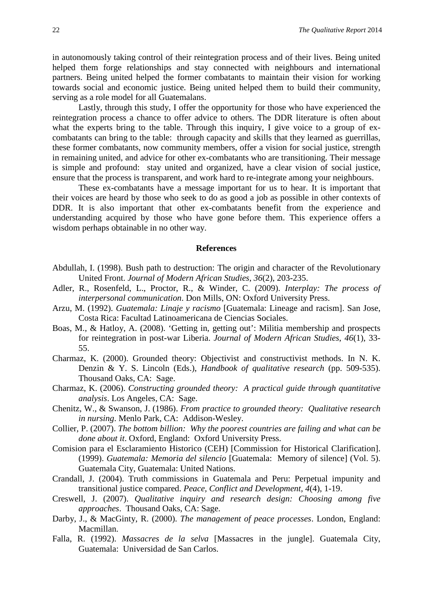in autonomously taking control of their reintegration process and of their lives. Being united helped them forge relationships and stay connected with neighbours and international partners. Being united helped the former combatants to maintain their vision for working towards social and economic justice. Being united helped them to build their community, serving as a role model for all Guatemalans.

Lastly, through this study, I offer the opportunity for those who have experienced the reintegration process a chance to offer advice to others. The DDR literature is often about what the experts bring to the table. Through this inquiry, I give voice to a group of excombatants can bring to the table: through capacity and skills that they learned as guerrillas, these former combatants, now community members, offer a vision for social justice, strength in remaining united, and advice for other ex-combatants who are transitioning. Their message is simple and profound: stay united and organized, have a clear vision of social justice, ensure that the process is transparent, and work hard to re-integrate among your neighbours.

These ex-combatants have a message important for us to hear. It is important that their voices are heard by those who seek to do as good a job as possible in other contexts of DDR. It is also important that other ex-combatants benefit from the experience and understanding acquired by those who have gone before them. This experience offers a wisdom perhaps obtainable in no other way.

#### **References**

- Abdullah, I. (1998). Bush path to destruction: The origin and character of the Revolutionary United Front. *Journal of Modern African Studies, 36*(2), 203-235.
- Adler, R., Rosenfeld, L., Proctor, R., & Winder, C. (2009). *Interplay: The process of interpersonal communication*. Don Mills, ON: Oxford University Press.
- Arzu, M. (1992). *Guatemala: Linaje y racismo* [Guatemala: Lineage and racism]. San Jose, Costa Rica: Facultad Latinoamericana de Ciencias Sociales.
- Boas, M., & Hatloy, A. (2008). 'Getting in, getting out': Militia membership and prospects for reintegration in post-war Liberia. *Journal of Modern African Studies*, *46*(1), 33- 55.
- Charmaz, K. (2000). Grounded theory: Objectivist and constructivist methods. In N. K. Denzin & Y. S. Lincoln (Eds.), *Handbook of qualitative research* (pp. 509-535). Thousand Oaks, CA: Sage.
- Charmaz, K. (2006). *Constructing grounded theory: A practical guide through quantitative analysis*. Los Angeles, CA: Sage.
- Chenitz, W., & Swanson, J. (1986). *From practice to grounded theory: Qualitative research in nursing*. Menlo Park, CA: Addison-Wesley.
- Collier, P. (2007). *The bottom billion: Why the poorest countries are failing and what can be done about it*. Oxford, England: Oxford University Press.
- Comision para el Esclaramiento Historico (CEH) [Commission for Historical Clarification]. (1999). *Guatemala: Memoria del silencio* [Guatemala: Memory of silence] (Vol. 5). Guatemala City, Guatemala: United Nations.
- Crandall, J. (2004). Truth commissions in Guatemala and Peru: Perpetual impunity and transitional justice compared. *Peace, Conflict and Development, 4*(4), 1-19.
- Creswell, J. (2007). *Qualitative inquiry and research design: Choosing among five approaches*. Thousand Oaks, CA: Sage.
- Darby, J., & MacGinty, R. (2000). *The management of peace processes*. London, England: Macmillan.
- Falla, R. (1992). *Massacres de la selva* [Massacres in the jungle]. Guatemala City, Guatemala: Universidad de San Carlos.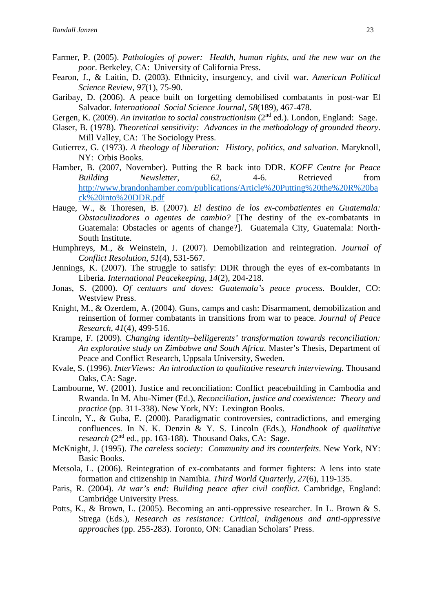- Farmer, P. (2005). *Pathologies of power: Health, human rights, and the new war on the poor*. Berkeley, CA: University of California Press.
- Fearon, J., & Laitin, D. (2003). Ethnicity, insurgency, and civil war. *American Political Science Review, 97*(1), 75-90.
- Garibay, D. (2006). A peace built on forgetting demobilised combatants in post-war El Salvador. *International Social Science Journal, 58*(189), 467-478.
- Gergen, K. (2009). *An invitation to social constructionism* (2<sup>nd</sup> ed.). London, England: Sage.
- Glaser, B. (1978). *Theoretical sensitivity: Advances in the methodology of grounded theory*. Mill Valley, CA: The Sociology Press.
- Gutierrez, G. (1973). *A theology of liberation: History, politics, and salvation*. Maryknoll, NY: Orbis Books.
- Hamber, B. (2007, November). Putting the R back into DDR. *KOFF Centre for Peace Building Newsletter*, *62*, 4-6. Retrieved from [http://www.brandonhamber.com/publications/Article%20Putting%20the%20R%20ba](http://www.brandonhamber.com/publications/Article%20Putting%20the%20R%20back%20into%20DDR.pdf) [ck%20into%20DDR.pdf](http://www.brandonhamber.com/publications/Article%20Putting%20the%20R%20back%20into%20DDR.pdf)
- Hauge, W., & Thoresen, B. (2007). *El destino de los ex-combatientes en Guatemala: Obstaculizadores o agentes de cambio?* [The destiny of the ex-combatants in Guatemala: Obstacles or agents of change?]. Guatemala City, Guatemala: North-South Institute.
- Humphreys, M., & Weinstein, J. (2007). Demobilization and reintegration. *Journal of Conflict Resolution, 51*(4), 531-567.
- Jennings, K. (2007). The struggle to satisfy: DDR through the eyes of ex-combatants in Liberia. *International Peacekeeping, 14*(2), 204-218.
- Jonas, S. (2000). *Of centaurs and doves: Guatemala's peace process*. Boulder, CO: Westview Press.
- Knight, M., & Ozerdem, A. (2004). Guns, camps and cash: Disarmament, demobilization and reinsertion of former combatants in transitions from war to peace. *Journal of Peace Research, 41*(4), 499-516.
- Krampe, F. (2009). *Changing identity–belligerents' transformation towards reconciliation: An explorative study on Zimbabwe and South Africa*. Master's Thesis, Department of Peace and Conflict Research, Uppsala University, Sweden.
- Kvale, S. (1996). *InterViews: An introduction to qualitative research interviewing.* Thousand Oaks, CA: Sage.
- Lambourne, W. (2001). Justice and reconciliation: Conflict peacebuilding in Cambodia and Rwanda. In M. Abu-Nimer (Ed.), *Reconciliation, justice and coexistence: Theory and practice* (pp. 311-338). New York, NY: Lexington Books.
- Lincoln, Y., & Guba, E. (2000). Paradigmatic controversies, contradictions, and emerging confluences. In N. K. Denzin & Y. S. Lincoln (Eds.), *Handbook of qualitative research* (2<sup>nd</sup> ed., pp. 163-188). Thousand Oaks, CA: Sage.
- McKnight, J. (1995). *The careless society: Community and its counterfeits*. New York, NY: Basic Books.
- Metsola, L. (2006). Reintegration of ex-combatants and former fighters: A lens into state formation and citizenship in Namibia. *Third World Quarterly*, *27*(6), 119-135.
- Paris, R. (2004). *At war's end: Building peace after civil conflict*. Cambridge, England: Cambridge University Press.
- Potts, K., & Brown, L. (2005). Becoming an anti-oppressive researcher. In L. Brown & S. Strega (Eds.), *Research as resistance: Critical, indigenous and anti-oppressive approaches* (pp. 255-283). Toronto, ON: Canadian Scholars' Press.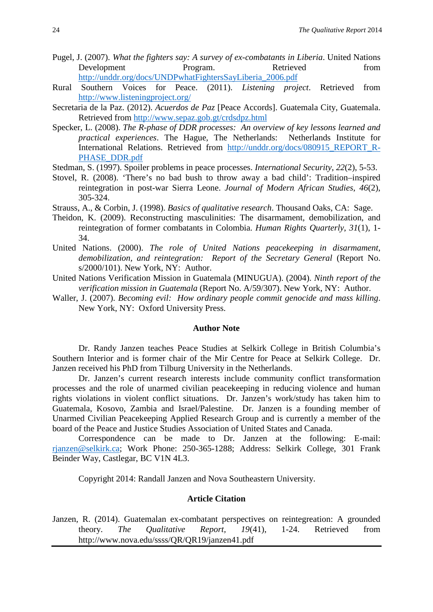- Pugel, J. (2007). *What the fighters say: A survey of ex-combatants in Liberia*. United Nations Development Program. Retrieved from [http://unddr.org/docs/UNDPwhatFightersSayLiberia\\_2006.pdf](http://unddr.org/docs/UNDPwhatFightersSayLiberia_2006.pdf)
- Rural Southern Voices for Peace. (2011). *Listening project*. Retrieved from <http://www.listeningproject.org/>
- Secretaria de la Paz. (2012). *Acuerdos de Paz* [Peace Accords]. Guatemala City, Guatemala. Retrieved from<http://www.sepaz.gob.gt/crdsdpz.html>
- Specker, L. (2008). *The R-phase of DDR processes: An overview of key lessons learned and practical experiences*. The Hague, The Netherlands: Netherlands Institute for International Relations. Retrieved from http://unddr.org/docs/080915 REPORT R-[PHASE\\_DDR.pdf](http://unddr.org/docs/080915_REPORT_R-PHASE_DDR.pdf)
- Stedman, S. (1997). Spoiler problems in peace processes. *International Security*, *22*(2), 5-53.
- Stovel, R. (2008). 'There's no bad bush to throw away a bad child': Tradition–inspired reintegration in post-war Sierra Leone. *Journal of Modern African Studies*, *46*(2), 305-324.
- Strauss, A., & Corbin, J. (1998). *Basics of qualitative research*. Thousand Oaks, CA: Sage.
- Theidon, K. (2009). Reconstructing masculinities: The disarmament, demobilization, and reintegration of former combatants in Colombia. *Human Rights Quarterly*, *31*(1), 1- 34.
- United Nations. (2000). *The role of United Nations peacekeeping in disarmament, demobilization, and reintegration: Report of the Secretary General* (Report No. s/2000/101). New York, NY: Author.
- United Nations Verification Mission in Guatemala (MINUGUA). (2004). *Ninth report of the verification mission in Guatemala* (Report No. A/59/307). New York, NY: Author.
- Waller, J. (2007). *Becoming evil: How ordinary people commit genocide and mass killing*. New York, NY: Oxford University Press.

## **Author Note**

Dr. Randy Janzen teaches Peace Studies at Selkirk College in British Columbia's Southern Interior and is former chair of the Mir Centre for Peace at Selkirk College. Dr. Janzen received his PhD from Tilburg University in the Netherlands.

Dr. Janzen's current research interests include community conflict transformation processes and the role of unarmed civilian peacekeeping in reducing violence and human rights violations in violent conflict situations. Dr. Janzen's work/study has taken him to Guatemala, Kosovo, Zambia and Israel/Palestine. Dr. Janzen is a founding member of Unarmed Civilian Peacekeeping Applied Research Group and is currently a member of the board of the Peace and Justice Studies Association of United States and Canada.

Correspondence can be made to Dr. Janzen at the following: E-mail: [rjanzen@selkirk.ca;](mailto:rjanzen@selkirk.ca) Work Phone: 250-365-1288; Address: Selkirk College, 301 Frank Beinder Way, Castlegar, BC V1N 4L3.

Copyright 2014: Randall Janzen and Nova Southeastern University.

## **Article Citation**

Janzen, R. (2014). Guatemalan ex-combatant perspectives on reintegreation: A grounded theory. *The Qualitative Report, 19*(41), 1-24. Retrieved from http://www.nova.edu/ssss/QR/QR19/janzen41.pdf